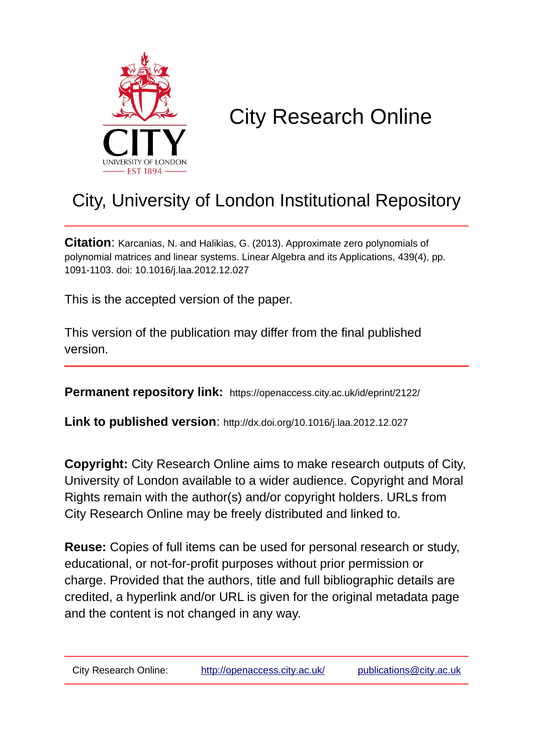

# City Research Online

## City, University of London Institutional Repository

**Citation**: Karcanias, N. and Halikias, G. (2013). Approximate zero polynomials of polynomial matrices and linear systems. Linear Algebra and its Applications, 439(4), pp. 1091-1103. doi: 10.1016/j.laa.2012.12.027

This is the accepted version of the paper.

This version of the publication may differ from the final published version.

**Permanent repository link:** https://openaccess.city.ac.uk/id/eprint/2122/

**Link to published version**: http://dx.doi.org/10.1016/j.laa.2012.12.027

**Copyright:** City Research Online aims to make research outputs of City, University of London available to a wider audience. Copyright and Moral Rights remain with the author(s) and/or copyright holders. URLs from City Research Online may be freely distributed and linked to.

**Reuse:** Copies of full items can be used for personal research or study, educational, or not-for-profit purposes without prior permission or charge. Provided that the authors, title and full bibliographic details are credited, a hyperlink and/or URL is given for the original metadata page and the content is not changed in any way.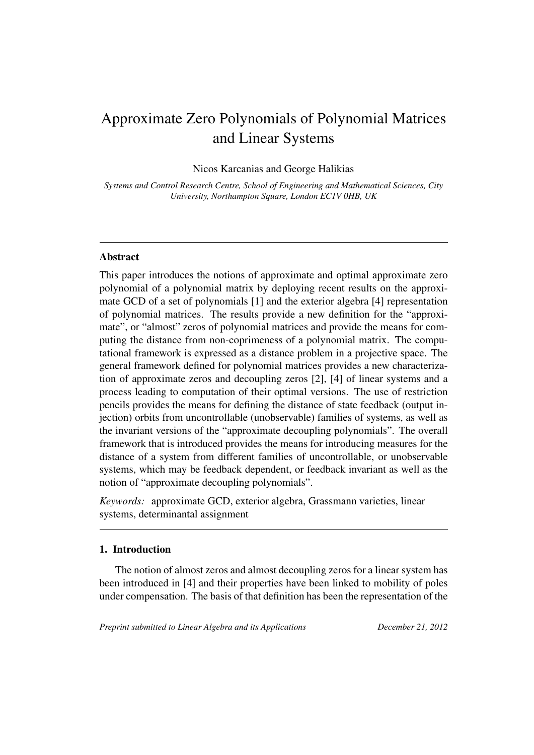### Approximate Zero Polynomials of Polynomial Matrices and Linear Systems

Nicos Karcanias and George Halikias

*Systems and Control Research Centre, School of Engineering and Mathematical Sciences, City University, Northampton Square, London EC1V 0HB, UK*

#### Abstract

This paper introduces the notions of approximate and optimal approximate zero polynomial of a polynomial matrix by deploying recent results on the approximate GCD of a set of polynomials [1] and the exterior algebra [4] representation of polynomial matrices. The results provide a new definition for the "approximate", or "almost" zeros of polynomial matrices and provide the means for computing the distance from non-coprimeness of a polynomial matrix. The computational framework is expressed as a distance problem in a projective space. The general framework defined for polynomial matrices provides a new characterization of approximate zeros and decoupling zeros [2], [4] of linear systems and a process leading to computation of their optimal versions. The use of restriction pencils provides the means for defining the distance of state feedback (output injection) orbits from uncontrollable (unobservable) families of systems, as well as the invariant versions of the "approximate decoupling polynomials". The overall framework that is introduced provides the means for introducing measures for the distance of a system from different families of uncontrollable, or unobservable systems, which may be feedback dependent, or feedback invariant as well as the notion of "approximate decoupling polynomials".

*Keywords:* approximate GCD, exterior algebra, Grassmann varieties, linear systems, determinantal assignment

#### 1. Introduction

The notion of almost zeros and almost decoupling zeros for a linear system has been introduced in [4] and their properties have been linked to mobility of poles under compensation. The basis of that definition has been the representation of the

*Preprint submitted to Linear Algebra and its Applications December 21, 2012*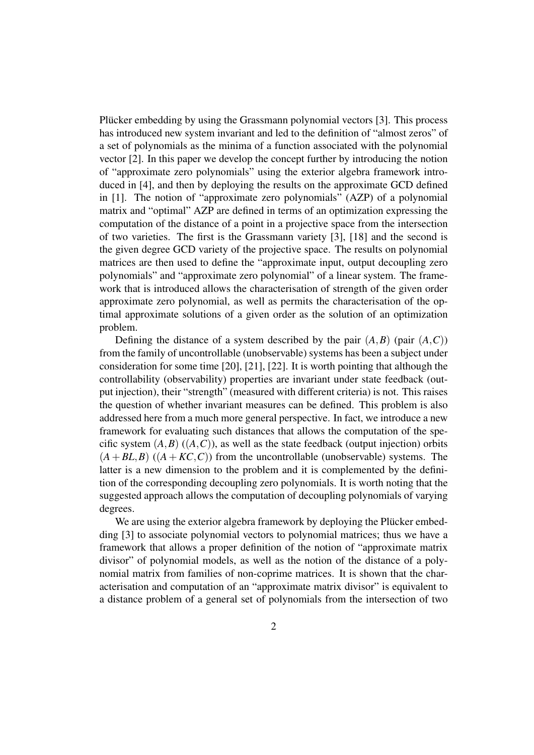Plucker embedding by using the Grassmann polynomial vectors [3]. This process has introduced new system invariant and led to the definition of "almost zeros" of a set of polynomials as the minima of a function associated with the polynomial vector [2]. In this paper we develop the concept further by introducing the notion of "approximate zero polynomials" using the exterior algebra framework introduced in [4], and then by deploying the results on the approximate GCD defined in [1]. The notion of "approximate zero polynomials" (AZP) of a polynomial matrix and "optimal" AZP are defined in terms of an optimization expressing the computation of the distance of a point in a projective space from the intersection of two varieties. The first is the Grassmann variety [3], [18] and the second is the given degree GCD variety of the projective space. The results on polynomial matrices are then used to define the "approximate input, output decoupling zero polynomials" and "approximate zero polynomial" of a linear system. The framework that is introduced allows the characterisation of strength of the given order approximate zero polynomial, as well as permits the characterisation of the optimal approximate solutions of a given order as the solution of an optimization problem.

Defining the distance of a system described by the pair  $(A, B)$  (pair  $(A, C)$ ) from the family of uncontrollable (unobservable) systems has been a subject under consideration for some time [20], [21], [22]. It is worth pointing that although the controllability (observability) properties are invariant under state feedback (output injection), their "strength" (measured with different criteria) is not. This raises the question of whether invariant measures can be defined. This problem is also addressed here from a much more general perspective. In fact, we introduce a new framework for evaluating such distances that allows the computation of the specific system  $(A, B)$   $((A, C))$ , as well as the state feedback (output injection) orbits  $(A + BL, B)$   $((A + KC, C))$  from the uncontrollable (unobservable) systems. The latter is a new dimension to the problem and it is complemented by the definition of the corresponding decoupling zero polynomials. It is worth noting that the suggested approach allows the computation of decoupling polynomials of varying degrees.

We are using the exterior algebra framework by deploying the Plücker embedding [3] to associate polynomial vectors to polynomial matrices; thus we have a framework that allows a proper definition of the notion of "approximate matrix divisor" of polynomial models, as well as the notion of the distance of a polynomial matrix from families of non-coprime matrices. It is shown that the characterisation and computation of an "approximate matrix divisor" is equivalent to a distance problem of a general set of polynomials from the intersection of two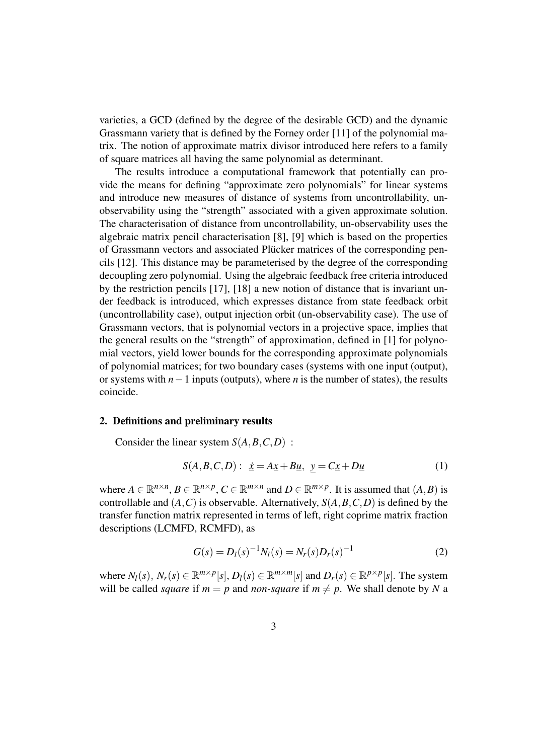varieties, a GCD (defined by the degree of the desirable GCD) and the dynamic Grassmann variety that is defined by the Forney order [11] of the polynomial matrix. The notion of approximate matrix divisor introduced here refers to a family of square matrices all having the same polynomial as determinant.

The results introduce a computational framework that potentially can provide the means for defining "approximate zero polynomials" for linear systems and introduce new measures of distance of systems from uncontrollability, unobservability using the "strength" associated with a given approximate solution. The characterisation of distance from uncontrollability, un-observability uses the algebraic matrix pencil characterisation [8], [9] which is based on the properties of Grassmann vectors and associated Plücker matrices of the corresponding pencils [12]. This distance may be parameterised by the degree of the corresponding decoupling zero polynomial. Using the algebraic feedback free criteria introduced by the restriction pencils [17], [18] a new notion of distance that is invariant under feedback is introduced, which expresses distance from state feedback orbit (uncontrollability case), output injection orbit (un-observability case). The use of Grassmann vectors, that is polynomial vectors in a projective space, implies that the general results on the "strength" of approximation, defined in [1] for polynomial vectors, yield lower bounds for the corresponding approximate polynomials of polynomial matrices; for two boundary cases (systems with one input (output), or systems with *n−*1 inputs (outputs), where *n* is the number of states), the results coincide.

#### 2. Definitions and preliminary results

Consider the linear system  $S(A, B, C, D)$ :

$$
S(A, B, C, D): \underline{\dot{x}} = A\underline{x} + B\underline{u}, \ y = C\underline{x} + D\underline{u} \tag{1}
$$

where  $A \in \mathbb{R}^{n \times n}$ ,  $B \in \mathbb{R}^{n \times p}$ ,  $C \in \mathbb{R}^{m \times n}$  and  $D \in \mathbb{R}^{m \times p}$ . It is assumed that  $(A, B)$  is controllable and  $(A, C)$  is observable. Alternatively,  $S(A, B, C, D)$  is defined by the transfer function matrix represented in terms of left, right coprime matrix fraction descriptions (LCMFD, RCMFD), as

$$
G(s) = D_l(s)^{-1} N_l(s) = N_r(s) D_r(s)^{-1}
$$
 (2)

where  $N_l(s)$ ,  $N_r(s) \in \mathbb{R}^{m \times p}[s]$ ,  $D_l(s) \in \mathbb{R}^{m \times m}[s]$  and  $D_r(s) \in \mathbb{R}^{p \times p}[s]$ . The system will be called *square* if  $m = p$  and *non-square* if  $m \neq p$ . We shall denote by *N* a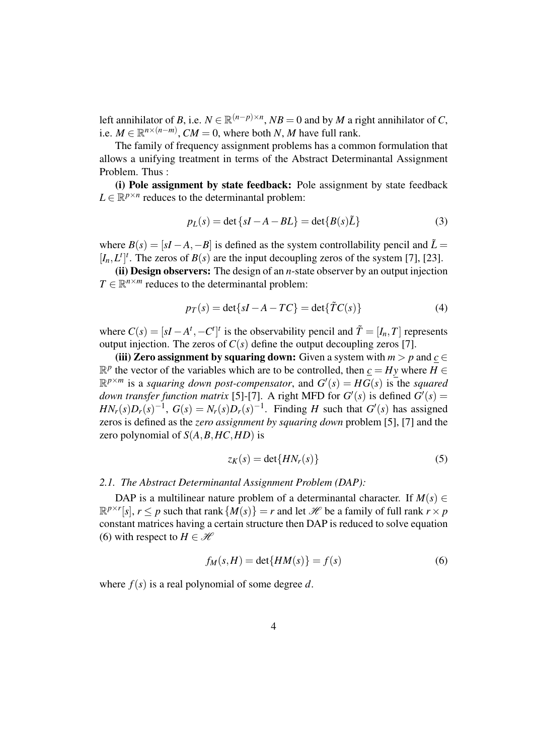left annihilator of *B*, i.e.  $N \in \mathbb{R}^{(n-p)\times n}$ ,  $NB = 0$  and by *M* a right annihilator of *C*, i.e.  $M \in \mathbb{R}^{n \times (n-m)}$ ,  $CM = 0$ , where both *N*, *M* have full rank.

The family of frequency assignment problems has a common formulation that allows a unifying treatment in terms of the Abstract Determinantal Assignment Problem. Thus :

(i) Pole assignment by state feedback: Pole assignment by state feedback  $L \in \mathbb{R}^{p \times n}$  reduces to the determinantal problem:

$$
p_L(s) = \det \{ sI - A - BL \} = \det \{ B(s)\tilde{L} \}
$$
 (3)

where  $B(s) = [sI - A, -B]$  is defined as the system controllability pencil and  $\tilde{L} =$  $[I_n, L^t]^t$ . The zeros of  $B(s)$  are the input decoupling zeros of the system [7], [23].

(ii) Design observers: The design of an *n*-state observer by an output injection  $T \in \mathbb{R}^{n \times m}$  reduces to the determinantal problem:

$$
p_T(s) = \det\{sI - A - TC\} = \det\{\tilde{T}C(s)\}\tag{4}
$$

where  $C(s) = [sI – A^t, –C^t]^t$  is the observability pencil and  $\tilde{T} = [I_n, T]$  represents output injection. The zeros of  $C(s)$  define the output decoupling zeros [7].

(iii) Zero assignment by squaring down: Given a system with  $m > p$  and  $c \in$  $\mathbb{R}^p$  the vector of the variables which are to be controlled, then  $\underline{c} = H\overline{y}$  where  $H \in$  $\mathbb{R}^{p \times m}$  is a *squaring down post-compensator*, and  $G'(s) = HG(s)$  is the *squared down transfer function matrix* [5]-[7]. A right MFD for  $G'(s)$  is defined  $G'(s)$  =  $HN_r(s)D_r(s)^{-1}$ ,  $G(s) = N_r(s)D_r(s)^{-1}$ . Finding *H* such that  $G'(s)$  has assigned zeros is defined as the *zero assignment by squaring down* problem [5], [7] and the zero polynomial of  $S(A, B, HC, HD)$  is

$$
z_K(s) = \det\{HN_r(s)\}\tag{5}
$$

#### *2.1. The Abstract Determinantal Assignment Problem (DAP):*

DAP is a multilinear nature problem of a determinantal character. If  $M(s) \in$  $\mathbb{R}^{p \times r}[s], r \leq p$  such that rank  $\{M(s)\} = r$  and let  $\mathcal{H}$  be a family of full rank  $r \times p$ constant matrices having a certain structure then DAP is reduced to solve equation (6) with respect to  $H \in \mathcal{H}$ 

$$
f_M(s, H) = \det\{HM(s)\} = f(s)
$$
\n(6)

where  $f(s)$  is a real polynomial of some degree d.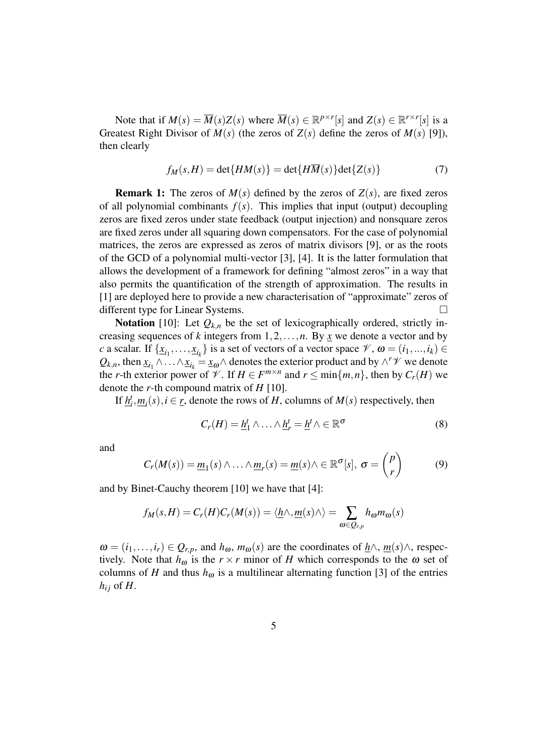Note that if  $M(s) = \overline{M}(s)Z(s)$  where  $\overline{M}(s) \in \mathbb{R}^{p \times r}[s]$  and  $Z(s) \in \mathbb{R}^{r \times r}[s]$  is a Greatest Right Divisor of  $M(s)$  (the zeros of  $Z(s)$  define the zeros of  $M(s)$  [9]), then clearly

$$
f_M(s, H) = \det\{HM(s)\} = \det\{HM(s)\}\det\{Z(s)\}\tag{7}
$$

**Remark 1:** The zeros of  $M(s)$  defined by the zeros of  $Z(s)$ , are fixed zeros of all polynomial combinants  $f(s)$ . This implies that input (output) decoupling zeros are fixed zeros under state feedback (output injection) and nonsquare zeros are fixed zeros under all squaring down compensators. For the case of polynomial matrices, the zeros are expressed as zeros of matrix divisors [9], or as the roots of the GCD of a polynomial multi-vector [3], [4]. It is the latter formulation that allows the development of a framework for defining "almost zeros" in a way that also permits the quantification of the strength of approximation. The results in [1] are deployed here to provide a new characterisation of "approximate" zeros of different type for Linear Systems.

Notation [10]: Let  $Q_{k,n}$  be the set of lexicographically ordered, strictly increasing sequences of *k* integers from  $1, 2, \ldots, n$ . By  $\underline{x}$  we denote a vector and by *c* a scalar. If  $\{x_{i_1},...,x_{i_k}\}$  is a set of vectors of a vector space  $\mathcal{V}, \omega = (i_1,...,i_k) \in$  $Q_{k,n}$ , then  $\underline{x}_{i_1} \wedge \ldots \wedge \underline{x}_{i_k} = \underline{x}_{\omega} \wedge$  denotes the exterior product and by  $\wedge^r \mathcal{V}$  we denote the *r*-th exterior power of  $\mathcal V$ . If  $H \in F^{m \times n}$  and  $r \le \min\{m, n\}$ , then by  $C_r(H)$  we denote the *r*-th compound matrix of *H* [10].

If  $\underline{h}_i^t, \underline{m}_i(s), i \in \underline{r}$ , denote the rows of *H*, columns of *M*(*s*) respectively, then

$$
C_r(H) = \underline{h}_1^t \wedge \ldots \wedge \underline{h}_r^t = \underline{h}^t \wedge \in \mathbb{R}^{\sigma}
$$
 (8)

and

$$
C_r(M(s)) = \underline{m}_1(s) \wedge \ldots \wedge \underline{m}_r(s) = \underline{m}(s) \wedge \in \mathbb{R}^{\sigma}[s], \sigma = \begin{pmatrix} p \\ r \end{pmatrix}
$$
 (9)

and by Binet-Cauchy theorem [10] we have that [4]:

$$
f_M(s,H) = C_r(H)C_r(M(s)) = \langle \underline{h} \wedge, \underline{m}(s) \wedge \rangle = \sum_{\omega \in \mathcal{Q}_{r,p}} h_{\omega} m_{\omega}(s)
$$

 $\omega = (i_1, \ldots, i_r) \in Q_{r,p}$ , and  $h_{\omega}, m_{\omega}(s)$  are the coordinates of  $h \wedge m(s) \wedge$ , respectively. Note that  $h_{\omega}$  is the  $r \times r$  minor of *H* which corresponds to the  $\omega$  set of columns of *H* and thus  $h_{\omega}$  is a multilinear alternating function [3] of the entries  $h_{ij}$  of  $H$ .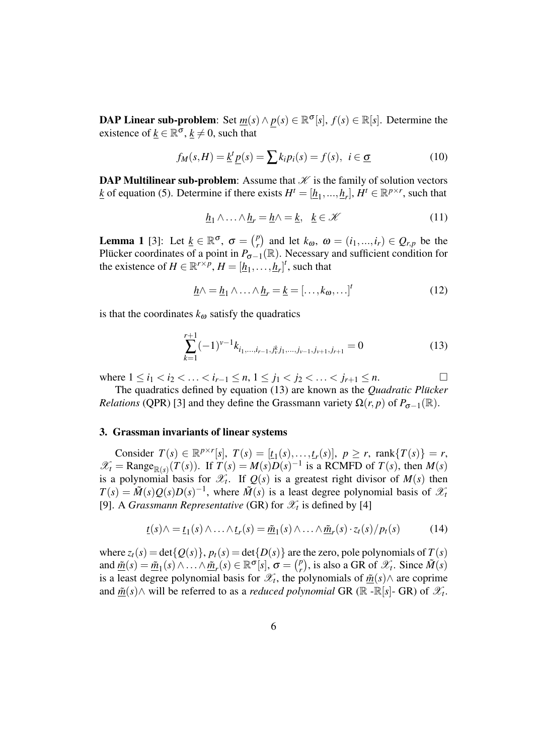**DAP Linear sub-problem**: Set  $\underline{m}(s) \wedge p(s) \in \mathbb{R}^{\sigma}[s]$ ,  $f(s) \in \mathbb{R}[s]$ . Determine the existence of  $\underline{k} \in \mathbb{R}^{\sigma}$ ,  $\underline{k} \neq 0$ , such that

$$
f_M(s,H) = \underline{k}^t \underline{p}(s) = \sum k_i p_i(s) = f(s), \ i \in \underline{\sigma}
$$
 (10)

**DAP Multilinear sub-problem:** Assume that  $K$  is the family of solution vectors *k* of equation (5). Determine if there exists  $H^t = [\underline{h}_1, ..., \underline{h}_r], H^t \in \mathbb{R}^{p \times r}$ , such that

$$
\underline{h}_1 \wedge \ldots \wedge \underline{h}_r = \underline{h} \wedge = \underline{k}, \quad \underline{k} \in \mathcal{K} \tag{11}
$$

**Lemma 1** [3]: Let  $\underline{k} \in \mathbb{R}^{\sigma}$ ,  $\sigma = \begin{pmatrix} p \\ r \end{pmatrix}$  $\binom{p}{r}$  and let  $k_{\omega}$ ,  $\omega = (i_1, ..., i_r) \in Q_{r,p}$  be the Plucker coordinates of a point in  $P_{\sigma-1}(\mathbb{R})$ . Necessary and sufficient condition for the existence of  $H \in \mathbb{R}^{r \times p}$ ,  $H = [\underline{h}_1, \dots, \underline{h}_r]^t$ , such that

$$
\underline{h}\wedge = \underline{h}_1 \wedge \ldots \wedge \underline{h}_r = \underline{k} = [\ldots, k_{\omega}, \ldots]^t
$$
 (12)

is that the coordinates  $k_{\omega}$  satisfy the quadratics

$$
\sum_{k=1}^{r+1} (-1)^{\nu-1} k_{i_1,\dots,i_{r-1},j_{\nu}^k j_1,\dots,j_{\nu-1},j_{\nu+1},j_{r+1}} = 0 \tag{13}
$$

where  $1 \le i_1 < i_2 < \ldots < i_{r-1} \le n, 1 \le j_1 < j_2 < \ldots < j_{r+1} \le n$ .

The quadratics defined by equation (13) are known as the *Quadratic Plücker Relations* (QPR) [3] and they define the Grassmann variety  $\Omega(r, p)$  of  $P_{\sigma-1}(\mathbb{R})$ .

#### 3. Grassman invariants of linear systems

Consider  $T(s) \in \mathbb{R}^{p \times r}[s]$ ,  $T(s) = [t_1(s), \dots, t_r(s)]$ ,  $p \ge r$ ,  $\text{rank}\{T(s)\} = r$ ,  $\mathcal{X}_t$  = Range<sub>R(*s*)</sub>(*T*(*s*)). If *T*(*s*) = *M*(*s*)*D*(*s*)<sup>-1</sup> is a RCMFD of *T*(*s*), then *M*(*s*) is a polynomial basis for  $\mathscr{X}_t$ . If  $Q(s)$  is a greatest right divisor of  $M(s)$  then  $T(s) = \tilde{M}(s)Q(s)D(s)^{-1}$ , where  $\tilde{M}(s)$  is a least degree polynomial basis of  $\mathcal{X}_t$ [9]. A *Grassmann Representative* (GR) for  $\mathcal{X}_t$  is defined by [4]

$$
\underline{t}(s) \wedge = \underline{t}_1(s) \wedge \ldots \wedge \underline{t}_r(s) = \underline{\tilde{m}}_1(s) \wedge \ldots \wedge \underline{\tilde{m}}_r(s) \cdot z_t(s) / p_t(s) \tag{14}
$$

where  $z_t(s) = \det\{Q(s)\}\,$ ,  $p_t(s) = \det\{D(s)\}\$ are the zero, pole polynomials of  $T(s)$ and  $\underline{\tilde{m}}(s) = \underline{\tilde{m}}_1(s) \wedge \ldots \wedge \underline{\tilde{m}}_r(s) \in \mathbb{R}^{\sigma}[s], \sigma = \binom{p}{r}$  $\binom{p}{r}$ , is also a GR of  $\mathscr{X}_t$ . Since  $\tilde{M}(s)$ is a least degree polynomial basis for  $\mathscr{X}_t$ , the polynomials of  $\underline{\tilde{m}}(s) \wedge$  are coprime and  $\underline{\tilde{m}}(s) \wedge$  will be referred to as a *reduced polynomial* GR ( $\mathbb{R}$  - $\mathbb{R}[s]$ - GR) of  $\mathscr{X}_t$ .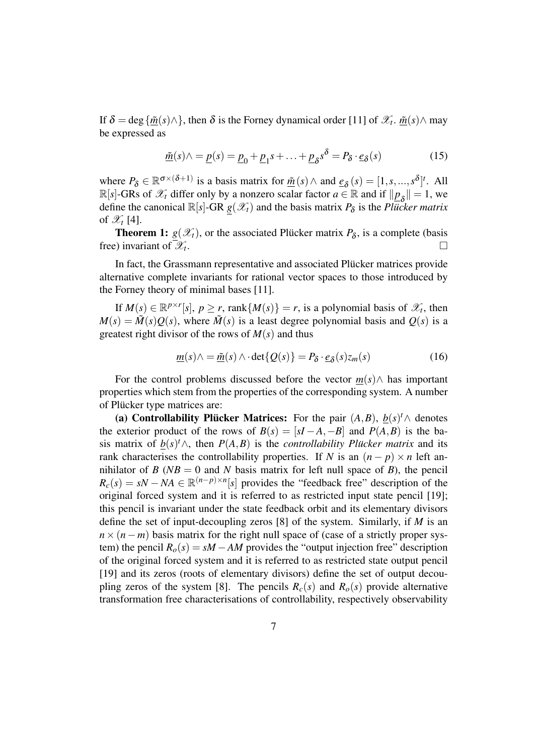If  $\delta = \deg \{ \underline{\tilde{m}}(s) \wedge \}$ , then  $\delta$  is the Forney dynamical order [11] of  $\mathscr{X}_t$ .  $\underline{\tilde{m}}(s) \wedge$  may be expressed as

$$
\underline{\tilde{m}}(s) \wedge = \underline{p}(s) = \underline{p}_0 + \underline{p}_1 s + \ldots + \underline{p}_\delta s^\delta = P_\delta \cdot \underline{e}_\delta(s) \tag{15}
$$

where  $P_{\delta} \in \mathbb{R}^{\sigma \times (\delta+1)}$  is a basis matrix for  $\underline{\tilde{m}}(s) \wedge$  and  $\underline{e}_{\delta}(s) = [1, s, ..., s^{\delta}]^{t}$ . All  $\mathbb{R}[s]$ -GRs of  $\mathscr{X}_t$  differ only by a nonzero scalar factor  $a \in \mathbb{R}$  and if  $\|\underline{p}_{\delta}\|=1,$  we define the canonical  $\mathbb{R}[s]$ -GR  $g(\mathcal{X}_t)$  and the basis matrix  $P_\delta$  is the *Plucker matrix* of  $\mathscr{X}_t$  [4].

**Theorem 1:**  $g(\mathscr{X}_t)$ , or the associated Plücker matrix  $P_\delta$ , is a complete (basis free) invariant of  $\mathscr{X}_t$ . .

In fact, the Grassmann representative and associated Plucker matrices provide alternative complete invariants for rational vector spaces to those introduced by the Forney theory of minimal bases [11].

If  $M(s) \in \mathbb{R}^{p \times r}[s], p \geq r$ , rank $\{M(s)\} = r$ , is a polynomial basis of  $\mathscr{X}_t$ , then  $M(s) = \tilde{M}(s)Q(s)$ , where  $\tilde{M}(s)$  is a least degree polynomial basis and  $Q(s)$  is a greatest right divisor of the rows of  $M(s)$  and thus

$$
\underline{m}(s) \wedge = \underline{\tilde{m}}(s) \wedge \det\{Q(s)\} = P_{\delta} \cdot \underline{e}_{\delta}(s) z_m(s) \tag{16}
$$

For the control problems discussed before the vector  $m(s)$  has important properties which stem from the properties of the corresponding system. A number of Plücker type matrices are:

(a) Controllability Plücker Matrices: For the pair  $(A, B)$ ,  $\underline{b}(s)^t \wedge$  denotes the exterior product of the rows of  $B(s) = [sI - A, -B]$  and  $P(A, B)$  is the basis matrix of  $\underline{b}(s)^t \wedge$ , then  $P(A, B)$  is the *controllability Plücker matrix* and its rank characterises the controllability properties. If *N* is an  $(n - p) \times n$  left annihilator of *B* ( $NB = 0$  and *N* basis matrix for left null space of *B*), the pencil  $R_c(s) = sN - NA \in \mathbb{R}^{(n-p)\times n}[s]$  provides the "feedback free" description of the original forced system and it is referred to as restricted input state pencil [19]; this pencil is invariant under the state feedback orbit and its elementary divisors define the set of input-decoupling zeros [8] of the system. Similarly, if *M* is an  $n \times (n - m)$  basis matrix for the right null space of (case of a strictly proper system) the pencil  $R_o(s) = sM - AM$  provides the "output injection free" description of the original forced system and it is referred to as restricted state output pencil [19] and its zeros (roots of elementary divisors) define the set of output decoupling zeros of the system [8]. The pencils  $R_c(s)$  and  $R_o(s)$  provide alternative transformation free characterisations of controllability, respectively observability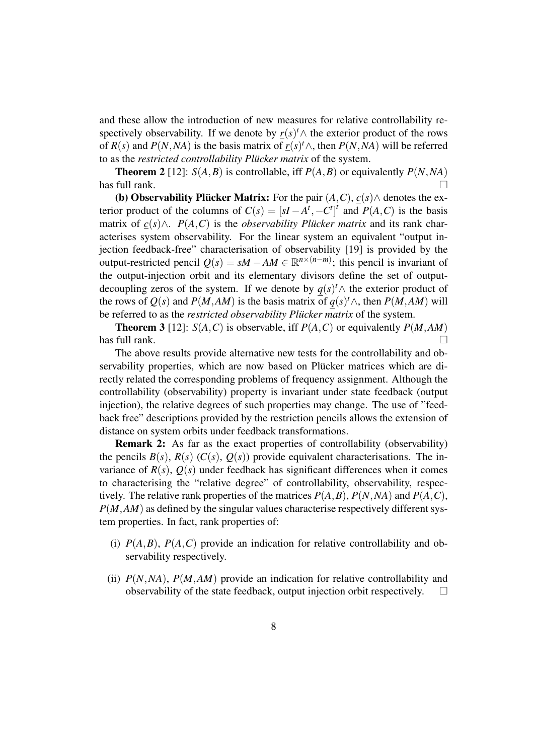and these allow the introduction of new measures for relative controllability respectively observability. If we denote by  $r(s)$ <sup>*t*</sup> $\wedge$  the exterior product of the rows of  $R(s)$  and  $P(N, NA)$  is the basis matrix of  $r(s)$ <sup>t</sup> $\wedge$ , then  $P(N, NA)$  will be referred to as the *restricted controllability Plücker matrix* of the system.

**Theorem 2** [12]: *S*(*A,B*) is controllable, iff *P*(*A,B*) or equivalently *P*(*N,NA*) has full rank.  $\Box$ 

(b) Observability Plücker Matrix: For the pair  $(A, C), c(s) \wedge$  denotes the exterior product of the columns of  $C(s) = [sI - A^t, -C^t]^t$  and  $P(A, C)$  is the basis matrix of  $c(s) \wedge$ . *P*(*A,C*) is the *observability Plücker matrix* and its rank characterises system observability. For the linear system an equivalent "output injection feedback-free" characterisation of observability [19] is provided by the output-restricted pencil  $Q(s) = sM - AM \in \mathbb{R}^{n \times (n-m)}$ ; this pencil is invariant of the output-injection orbit and its elementary divisors define the set of outputdecoupling zeros of the system. If we denote by  $q(s)$ <sup>*t*</sup> $\wedge$  the exterior product of the rows of  $Q(s)$  and  $P(M, AM)$  is the basis matrix of  $q(s)<sup>t</sup> \wedge$ , then  $P(M, AM)$  will be referred to as the *restricted observability Plücker matrix* of the system.

**Theorem 3** [12]: *S*(*A,C*) is observable, iff *P*(*A,C*) or equivalently *P*(*M,AM*) has full rank.  $\Box$ 

The above results provide alternative new tests for the controllability and observability properties, which are now based on Plucker matrices which are directly related the corresponding problems of frequency assignment. Although the controllability (observability) property is invariant under state feedback (output injection), the relative degrees of such properties may change. The use of "feedback free" descriptions provided by the restriction pencils allows the extension of distance on system orbits under feedback transformations.

Remark 2: As far as the exact properties of controllability (observability) the pencils  $B(s)$ ,  $R(s)$  ( $C(s)$ ,  $Q(s)$ ) provide equivalent characterisations. The invariance of  $R(s)$ ,  $Q(s)$  under feedback has significant differences when it comes to characterising the "relative degree" of controllability, observability, respectively. The relative rank properties of the matrices  $P(A, B)$ ,  $P(N, NA)$  and  $P(A, C)$ , *P*(*M,AM*) as defined by the singular values characterise respectively different system properties. In fact, rank properties of:

- (i)  $P(A, B)$ ,  $P(A, C)$  provide an indication for relative controllability and observability respectively.
- (ii) *P*(*N,NA*), *P*(*M,AM*) provide an indication for relative controllability and observability of the state feedback, output injection orbit respectively.  $\Box$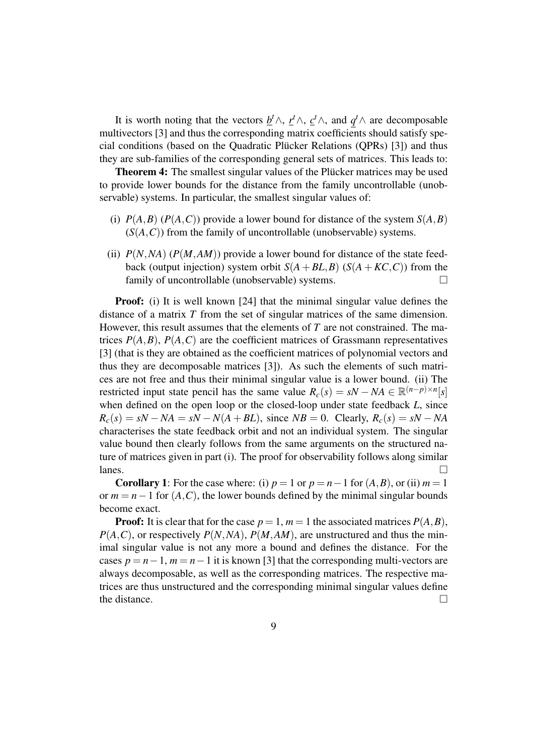It is worth noting that the vectors  $\underline{b}^t \wedge$ ,  $\underline{r}^t \wedge$ ,  $\underline{c}^t \wedge$ , and  $q^t \wedge$  are decomposable multivectors [3] and thus the corresponding matrix coefficients should satisfy special conditions (based on the Quadratic Plucker Relations (QPRs)  $[3]$ ) and thus they are sub-families of the corresponding general sets of matrices. This leads to:

Theorem 4: The smallest singular values of the Plücker matrices may be used to provide lower bounds for the distance from the family uncontrollable (unobservable) systems. In particular, the smallest singular values of:

- (i)  $P(A, B)$  ( $P(A, C)$ ) provide a lower bound for distance of the system  $S(A, B)$  $(S(A, C))$  from the family of uncontrollable (unobservable) systems.
- (ii)  $P(N, NA)$  ( $P(M, AM)$ ) provide a lower bound for distance of the state feedback (output injection) system orbit  $S(A + BL, B)$  ( $S(A + KC, C)$ ) from the family of uncontrollable (unobservable) systems.

**Proof:** (i) It is well known [24] that the minimal singular value defines the distance of a matrix *T* from the set of singular matrices of the same dimension. However, this result assumes that the elements of *T* are not constrained. The matrices  $P(A, B)$ ,  $P(A, C)$  are the coefficient matrices of Grassmann representatives [3] (that is they are obtained as the coefficient matrices of polynomial vectors and thus they are decomposable matrices [3]). As such the elements of such matrices are not free and thus their minimal singular value is a lower bound. (ii) The restricted input state pencil has the same value  $R_c(s) = sN - NA \in \mathbb{R}^{(n-p)\times n}[s]$ when defined on the open loop or the closed-loop under state feedback *L*, since  $R_c(s) = sN - NA = sN - N(A + BL)$ , since  $NB = 0$ . Clearly,  $R_c(s) = sN - NA$ characterises the state feedback orbit and not an individual system. The singular value bound then clearly follows from the same arguments on the structured nature of matrices given in part (i). The proof for observability follows along similar lanes.  $\Box$ 

**Corollary 1**: For the case where: (i)  $p = 1$  or  $p = n - 1$  for  $(A, B)$ , or (ii)  $m = 1$ or  $m = n - 1$  for  $(A, C)$ , the lower bounds defined by the minimal singular bounds become exact.

**Proof:** It is clear that for the case  $p = 1$ ,  $m = 1$  the associated matrices  $P(A, B)$ ,  $P(A, C)$ , or respectively  $P(N, NA)$ ,  $P(M, AM)$ , are unstructured and thus the minimal singular value is not any more a bound and defines the distance. For the cases  $p = n - 1$ ,  $m = n - 1$  it is known [3] that the corresponding multi-vectors are always decomposable, as well as the corresponding matrices. The respective matrices are thus unstructured and the corresponding minimal singular values define the distance.  $\Box$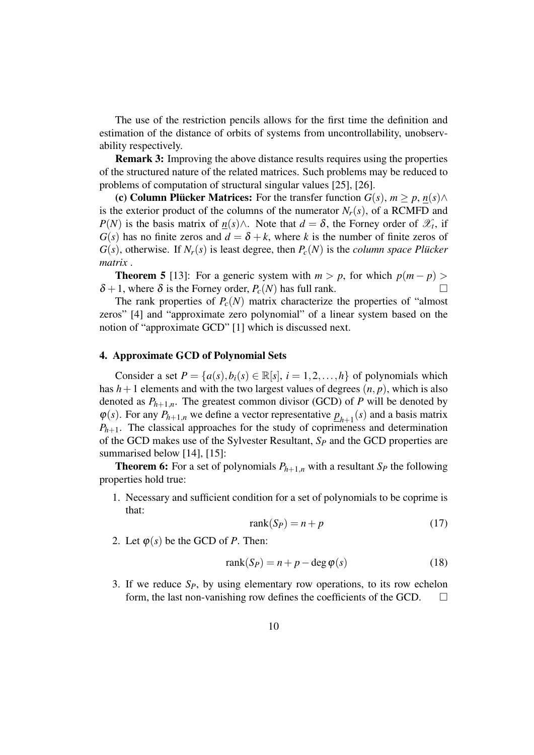The use of the restriction pencils allows for the first time the definition and estimation of the distance of orbits of systems from uncontrollability, unobservability respectively.

Remark 3: Improving the above distance results requires using the properties of the structured nature of the related matrices. Such problems may be reduced to problems of computation of structural singular values [25], [26].

(c) Column Plücker Matrices: For the transfer function  $G(s)$ ,  $m > p$ ,  $n(s)$ is the exterior product of the columns of the numerator  $N_r(s)$ , of a RCMFD and *P*(*N*) is the basis matrix of  $n(s)$ ∧. Note that *d* =  $\delta$ , the Forney order of  $\mathcal{X}_t$ , if  $G(s)$  has no finite zeros and  $d = \delta + k$ , where k is the number of finite zeros of  $G(s)$ , otherwise. If  $N_r(s)$  is least degree, then  $P_c(N)$  is the *column space Plucker matrix* .

**Theorem 5** [13]: For a generic system with  $m > p$ , for which  $p(m - p)$  $\delta + 1$ , where  $\delta$  is the Forney order,  $P_c(N)$  has full rank.

The rank properties of  $P_c(N)$  matrix characterize the properties of "almost" zeros" [4] and "approximate zero polynomial" of a linear system based on the notion of "approximate GCD" [1] which is discussed next.

#### 4. Approximate GCD of Polynomial Sets

Consider a set  $P = \{a(s), b_i(s) \in \mathbb{R}[s], i = 1, 2, ..., h\}$  of polynomials which has  $h+1$  elements and with the two largest values of degrees  $(n, p)$ , which is also denoted as  $P_{h+1,n}$ . The greatest common divisor (GCD) of *P* will be denoted by  $\varphi(s)$ . For any  $P_{h+1,n}$  we define a vector representative  $\underline{p}_{h+1}(s)$  and a basis matrix  $P_{h+1}$ . The classical approaches for the study of coprimeness and determination of the GCD makes use of the Sylvester Resultant, *S<sup>P</sup>* and the GCD properties are summarised below [14], [15]:

**Theorem 6:** For a set of polynomials  $P_{h+1,n}$  with a resultant  $S_p$  the following properties hold true:

1. Necessary and sufficient condition for a set of polynomials to be coprime is that:

$$
rank(S_P) = n + p \tag{17}
$$

2. Let  $\varphi(s)$  be the GCD of *P*. Then:

$$
rank(S_P) = n + p - deg \varphi(s)
$$
 (18)

3. If we reduce *SP*, by using elementary row operations, to its row echelon form, the last non-vanishing row defines the coefficients of the GCD.  $\Box$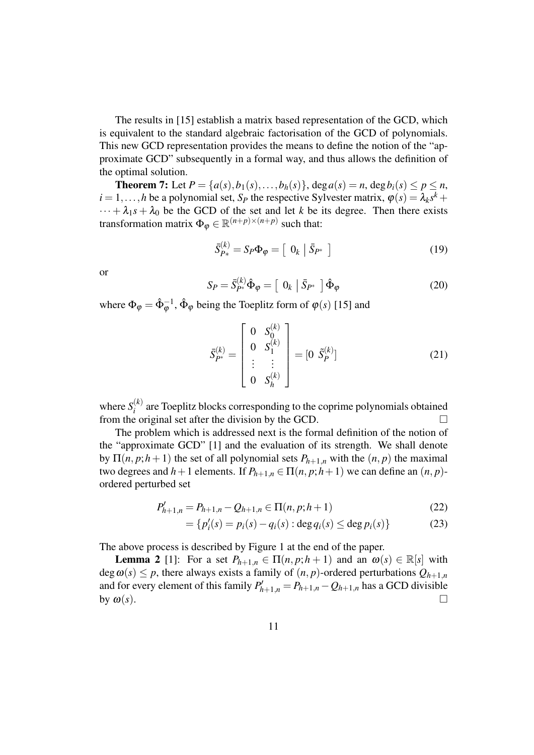The results in [15] establish a matrix based representation of the GCD, which is equivalent to the standard algebraic factorisation of the GCD of polynomials. This new GCD representation provides the means to define the notion of the "approximate GCD" subsequently in a formal way, and thus allows the definition of the optimal solution.

**Theorem 7:** Let  $P = \{a(s), b_1(s), \ldots, b_h(s)\}\text{, } \deg a(s) = n, \deg b_i(s) \leq p \leq n$ ,  $i = 1, \ldots, h$  be a polynomial set,  $S_P$  the respective Sylvester matrix,  $\varphi(s) = \lambda_k s^k +$  $\cdots + \lambda_1 s + \lambda_0$  be the GCD of the set and let *k* be its degree. Then there exists transformation matrix  $\Phi_{\varphi} \in \mathbb{R}^{(n+p)\times (n+p)}$  such that:

$$
\bar{S}_{P*}^{(k)} = S_P \Phi_{\varphi} = \left[ 0_k \mid \bar{S}_{P*} \right] \tag{19}
$$

or

$$
S_P = \bar{S}_{P^*}^{(k)} \hat{\Phi}_{\varphi} = \left[ 0_k \mid \bar{S}_{P^*} \right] \hat{\Phi}_{\varphi}
$$
 (20)

where  $\Phi_{\varphi} = \hat{\Phi}_{\varphi}^{-1}$ ,  $\hat{\Phi}_{\varphi}$  being the Toeplitz form of  $\varphi(s)$  [15] and

$$
\bar{S}_{P^*}^{(k)} = \begin{bmatrix} 0 & S_0^{(k)} \\ 0 & S_1^{(k)} \\ \vdots & \vdots \\ 0 & S_h^{(k)} \end{bmatrix} = [0 \ \tilde{S}_P^{(k)}]
$$
(21)

where  $S_i^{(k)}$  $i<sup>(*k*)</sup>$  are Toeplitz blocks corresponding to the coprime polynomials obtained from the original set after the division by the GCD.  $\Box$ 

The problem which is addressed next is the formal definition of the notion of the "approximate GCD" [1] and the evaluation of its strength. We shall denote by  $\Pi(n, p; h+1)$  the set of all polynomial sets  $P_{h+1,n}$  with the  $(n, p)$  the maximal two degrees and  $h+1$  elements. If  $P_{h+1,n} \in \Pi(n, p; h+1)$  we can define an  $(n, p)$ ordered perturbed set

$$
P'_{h+1,n} = P_{h+1,n} - Q_{h+1,n} \in \Pi(n, p; h+1)
$$
\n(22)

$$
= \{p'_i(s) = p_i(s) - q_i(s) : \deg q_i(s) \le \deg p_i(s)\}\
$$
 (23)

The above process is described by Figure 1 at the end of the paper.

**Lemma 2** [1]: For a set  $P_{h+1,n} \in \Pi(n,p;h+1)$  and an  $\omega(s) \in \mathbb{R}[s]$  with  $\deg \omega(s) \leq p$ , there always exists a family of  $(n, p)$ -ordered perturbations  $Q_{h+1,n}$ and for every element of this family  $P'_{h+1,n} = P_{h+1,n} - Q_{h+1,n}$  has a GCD divisible by  $\omega(s)$ .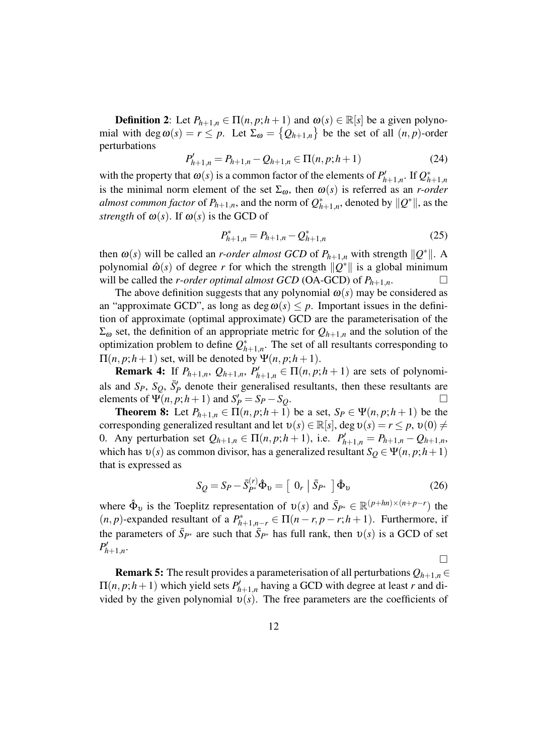**Definition 2:** Let  $P_{h+1,n} \in \Pi(n,p;h+1)$  and  $\omega(s) \in \mathbb{R}[s]$  be a given polynomial with deg  $\omega(s) = r \leq p$ . Let  $\Sigma_{\omega} = \{Q_{h+1,n}\}\)$  be the set of all  $(n, p)$ -order perturbations

$$
P'_{h+1,n} = P_{h+1,n} - Q_{h+1,n} \in \Pi(n, p; h+1)
$$
\n(24)

with the property that  $\omega(s)$  is a common factor of the elements of  $P'_{h+1,n}$ . If  $Q^*_{h+1,n}$ is the minimal norm element of the set  $\Sigma_{\omega}$ , then  $\omega(s)$  is referred as an *r-order almost common factor* of  $P_{h+1,n}$ , and the norm of  $Q^*_{h+1,n}$ , denoted by  $||Q^*||$ , as the *strength* of  $\omega(s)$ . If  $\omega(s)$  is the GCD of

$$
P_{h+1,n}^* = P_{h+1,n} - Q_{h+1,n}^*
$$
\n(25)

then  $\omega(s)$  will be called an *r-order almost GCD* of  $P_{h+1,n}$  with strength  $||Q^*||$ . A polynomial  $\hat{\omega}(s)$  of degree *r* for which the strength  $||Q^*||$  is a global minimum will be called the *r*-*order optimal almost GCD* (OA-GCD) of  $P_{h+1,n}$ .

The above definition suggests that any polynomial  $\omega(s)$  may be considered as an "approximate GCD", as long as deg  $\omega(s) \leq p$ . Important issues in the definition of approximate (optimal approximate) GCD are the parameterisation of the  $\Sigma_{\omega}$  set, the definition of an appropriate metric for  $Q_{h+1,n}$  and the solution of the optimization problem to define  $Q_{h+1,n}^*$ . The set of all resultants corresponding to  $\Pi(n, p; h+1)$  set, will be denoted by  $\Psi(n, p; h+1)$ .

**Remark 4:** If  $P_{h+1,n}$ ,  $Q_{h+1,n}$ ,  $P'_{h+1,n} \in \Pi(n, p; h+1)$  are sets of polynomials and  $S_P$ ,  $S_Q$ ,  $\bar{S}'_P$  denote their generalised resultants, then these resultants are elements of  $\Psi(n, p; h+1)$  and  $S'_{l}$  $P'_{P} = S_{P} - S_{Q}$ .

**Theorem 8:** Let  $P_{h+1,n} \in \Pi(n,p;h+1)$  be a set,  $S_P \in \Psi(n,p;h+1)$  be the corresponding generalized resultant and let  $v(s) \in \mathbb{R}[s]$ , deg  $v(s) = r \leq p$ ,  $v(0) \neq$ 0. Any perturbation set  $Q_{h+1,n} \in \Pi(n, p; h+1)$ , i.e.  $P'_{h+1,n} = P_{h+1,n} - Q_{h+1,n}$ , which has  $v(s)$  as common divisor, has a generalized resultant  $S_Q \in \Psi(n, p; h+1)$ that is expressed as

$$
S_Q = S_P - \bar{S}_{P^*}^{(r)} \hat{\Phi}_v = \left[ 0_r \mid \bar{S}_{P^*} \right] \hat{\Phi}_v \tag{26}
$$

 $\Box$ 

where  $\hat{\Phi}_{v}$  is the Toeplitz representation of  $v(s)$  and  $\bar{S}_{P^*} \in \mathbb{R}^{(p+hn)\times(n+p-r)}$  the  $(n, p)$ -expanded resultant of a  $P_{h+1,n-r}^* \in \Pi(n-r, p-r; h+1)$ . Furthermore, if the parameters of  $\bar{S}_{P^*}$  are such that  $\bar{S}_{P^*}$  has full rank, then  $v(s)$  is a GCD of set  $P'_{h+1,n}$ .

**Remark 5:** The result provides a parameterisation of all perturbations  $Q_{h+1,n}$  $\Pi(n, p; h+1)$  which yield sets  $P'_{h+1,n}$  having a GCD with degree at least *r* and divided by the given polynomial  $v(s)$ . The free parameters are the coefficients of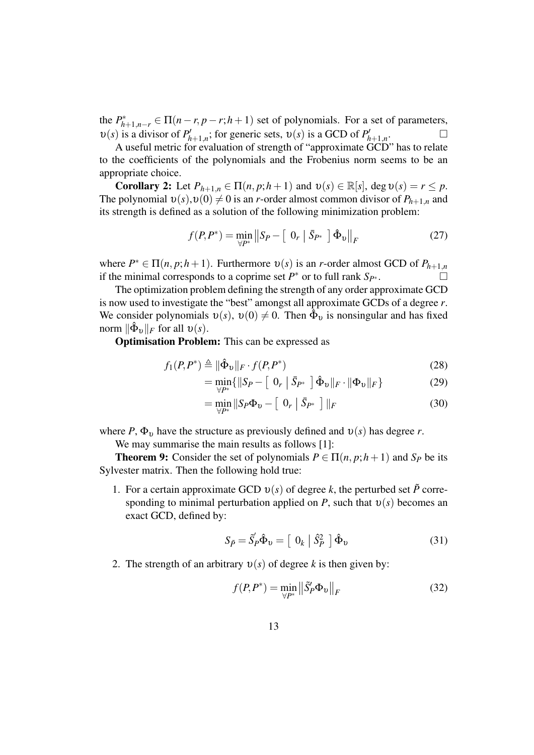the  $P_{h+1,n-r}^* \in \Pi(n-r,p-r;h+1)$  set of polynomials. For a set of parameters,  $v(s)$  is a divisor of  $P'_{h+1,n}$ ; for generic sets,  $v(s)$  is a GCD of  $P'_{h+1,n}$ .

A useful metric for evaluation of strength of "approximate GCD" has to relate to the coefficients of the polynomials and the Frobenius norm seems to be an appropriate choice.

Corollary 2: Let  $P_{h+1,n} \in \Pi(n, p; h+1)$  and  $v(s) \in \mathbb{R}[s]$ , deg  $v(s) = r \leq p$ . The polynomial  $v(s)$ ,  $v(0) \neq 0$  is an *r*-order almost common divisor of  $P_{h+1,n}$  and its strength is defined as a solution of the following minimization problem:

$$
f(P, P^*) = \min_{\forall P^*} \left\| S_P - \left[ 0_r \mid \bar{S}_{P^*} \right] \hat{\Phi}_v \right\|_F \tag{27}
$$

where  $P^* \in \Pi(n, p; h+1)$ . Furthermore  $v(s)$  is an *r*-order almost GCD of  $P_{h+1,n}$ if the minimal corresponds to a coprime set  $P^*$  or to full rank  $S_{P^*}$ .

The optimization problem defining the strength of any order approximate GCD is now used to investigate the "best" amongst all approximate GCDs of a degree *r*. We consider polynomials  $v(s)$ ,  $v(0) \neq 0$ . Then  $\hat{\Phi}_v$  is nonsingular and has fixed norm  $\|\hat{\Phi}_v\|_F$  for all  $v(s)$ .

Optimisation Problem: This can be expressed as

$$
f_1(P, P^*) \triangleq ||\hat{\Phi}_v||_F \cdot f(P, P^*)
$$
\n(28)

$$
= \min_{\forall P^*} \{ \| S_P - \left[ 0_r \mid \bar{S}_{P^*} \right] \hat{\Phi}_v \|_F \cdot \| \Phi_v \|_F \}
$$
(29)

$$
= \min_{\forall P^*} \| Sp\Phi_{\mathfrak{v}} - \left[ 0_r \mid \bar{S}_{P^*} \right] \|_F
$$
\n(30)

where  $P$ ,  $\Phi$ <sub>v</sub> have the structure as previously defined and  $v(s)$  has degree *r*.

We may summarise the main results as follows [1]:

**Theorem 9:** Consider the set of polynomials  $P \in \Pi(n, p; h+1)$  and  $S_P$  be its Sylvester matrix. Then the following hold true:

1. For a certain approximate GCD  $v(s)$  of degree *k*, the perturbed set  $\tilde{P}$  corresponding to minimal perturbation applied on *P*, such that  $v(s)$  becomes an exact GCD, defined by:

$$
S_{\tilde{P}} = \tilde{S}_P' \hat{\Phi}_v = \left[ 0_k \left| \hat{S}_P^2 \right| \hat{\Phi}_v \right] \tag{31}
$$

2. The strength of an arbitrary  $v(s)$  of degree *k* is then given by:

$$
f(P, P^*) = \min_{\forall P^*} \left\| \tilde{S}_P' \Phi_v \right\|_F \tag{32}
$$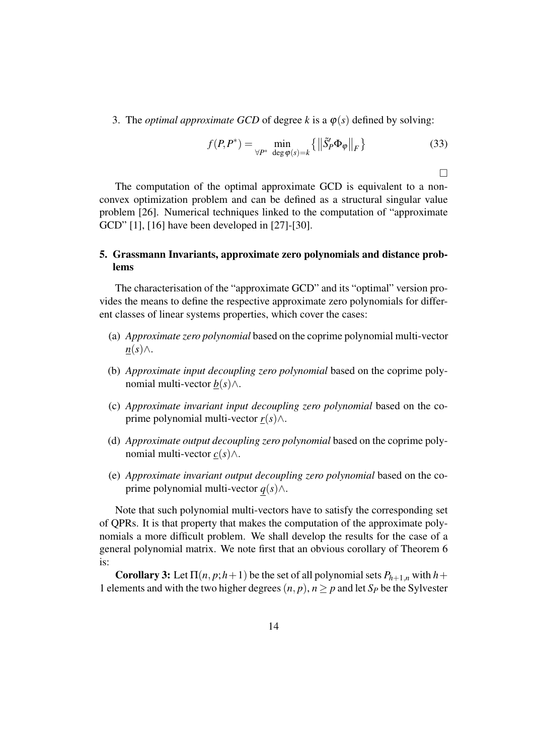3. The *optimal approximate GCD* of degree *k* is a  $\varphi(s)$  defined by solving:

$$
f(P, P^*) = \min_{\forall P^* \text{ deg } \varphi(s) = k} \{ \left\| \tilde{S}'_P \Phi_{\varphi} \right\|_F \}
$$
(33)

 $\Box$ 

The computation of the optimal approximate GCD is equivalent to a nonconvex optimization problem and can be defined as a structural singular value problem [26]. Numerical techniques linked to the computation of "approximate GCD" [1], [16] have been developed in [27]-[30].

#### 5. Grassmann Invariants, approximate zero polynomials and distance problems

The characterisation of the "approximate GCD" and its "optimal" version provides the means to define the respective approximate zero polynomials for different classes of linear systems properties, which cover the cases:

- (a) *Approximate zero polynomial* based on the coprime polynomial multi-vector *n*(*s*)*∧*.
- (b) *Approximate input decoupling zero polynomial* based on the coprime polynomial multi-vector  $\underline{b}(s) \wedge$ .
- (c) *Approximate invariant input decoupling zero polynomial* based on the coprime polynomial multi-vector  $r(s)$ ∧.
- (d) *Approximate output decoupling zero polynomial* based on the coprime polynomial multi-vector *c*(*s*)*∧*.
- (e) *Approximate invariant output decoupling zero polynomial* based on the coprime polynomial multi-vector  $q(s)$ ∧.

Note that such polynomial multi-vectors have to satisfy the corresponding set of QPRs. It is that property that makes the computation of the approximate polynomials a more difficult problem. We shall develop the results for the case of a general polynomial matrix. We note first that an obvious corollary of Theorem 6 is:

Corollary 3: Let  $\Pi(n, p; h+1)$  be the set of all polynomial sets  $P_{h+1,n}$  with  $h+1$ 1 elements and with the two higher degrees  $(n, p)$ ,  $n \geq p$  and let  $S_p$  be the Sylvester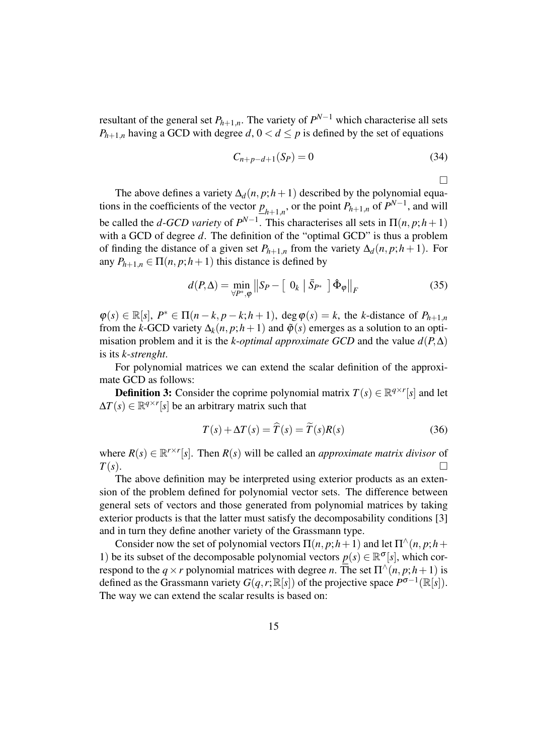resultant of the general set  $P_{h+1,n}$ . The variety of  $P^{N-1}$  which characterise all sets  $P_{h+1,n}$  having a GCD with degree  $d, 0 < d \leq p$  is defined by the set of equations

$$
C_{n+p-d+1}(S_P) = 0 \t\t(34)
$$

 $\Box$ 

The above defines a variety  $\Delta_d(n, p; h+1)$  described by the polynomial equations in the coefficients of the vector  $\underline{p}_{h+1,n}$ , or the point  $P_{h+1,n}$  of  $P^{N-1}$ , and will be called the *d*-*GCD* variety of  $P^{N-1}$ . This characterises all sets in  $\Pi(n, p; h+1)$ with a GCD of degree *d*. The definition of the "optimal GCD" is thus a problem of finding the distance of a given set  $P_{h+1,n}$  from the variety  $\Delta_d(n, p; h+1)$ . For any  $P_{h+1,n} \in \Pi(n, p; h+1)$  this distance is defined by

$$
d(P, \Delta) = \min_{\forall P^*, \varphi} \left\| S_P - \left[ 0_k \mid \bar{S}_{P^*} \right] \hat{\Phi}_{\varphi} \right\|_F
$$
 (35)

 $\varphi(s) \in \mathbb{R}[s], P^* \in \Pi(n-k, p-k; h+1), \deg \varphi(s) = k$ , the k-distance of  $P_{h+1,n}$ from the *k*-GCD variety  $\Delta_k(n, p; h+1)$  and  $\tilde{\varphi}(s)$  emerges as a solution to an optimisation problem and it is the *k*-*optimal approximate GCD* and the value  $d(P, \Delta)$ is its *k*-*strenght*.

For polynomial matrices we can extend the scalar definition of the approximate GCD as follows:

**Definition 3:** Consider the coprime polynomial matrix  $T(s) \in \mathbb{R}^{q \times r}[s]$  and let  $\Delta T(s) \in \mathbb{R}^{q \times r}$ [*s*] be an arbitrary matrix such that

$$
T(s) + \Delta T(s) = \tilde{T}(s) = \tilde{T}(s)R(s)
$$
\n(36)

where  $R(s) \in \mathbb{R}^{r \times r}[s]$ . Then  $R(s)$  will be called an *approximate matrix divisor* of  $T(s)$ .

The above definition may be interpreted using exterior products as an extension of the problem defined for polynomial vector sets. The difference between general sets of vectors and those generated from polynomial matrices by taking exterior products is that the latter must satisfy the decomposability conditions [3] and in turn they define another variety of the Grassmann type.

Consider now the set of polynomial vectors  $\Pi(n, p; h+1)$  and let  $\Pi^{\wedge}(n, p; h+1)$ 1) be its subset of the decomposable polynomial vectors  $p(s) \in \mathbb{R}^{\sigma}[s]$ , which correspond to the  $q \times r$  polynomial matrices with degree *n*. The set  $\Pi^{\wedge}(n, p; h+1)$  is defined as the Grassmann variety  $G(q,r;\mathbb{R}[s])$  of the projective space  $P^{\sigma-1}(\mathbb{R}[s])$ . The way we can extend the scalar results is based on: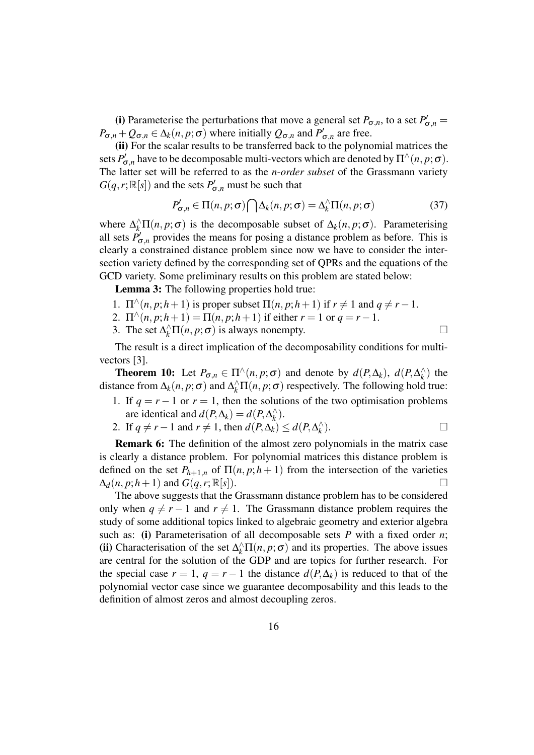(i) Parameterise the perturbations that move a general set  $P_{\sigma,n}$ , to a set  $P'_{\sigma,n}$ *P*<sub>σ</sub>*,n*</sup> +  $Q$ <sub>σ</sub>*,n*</sub>  $\in \Delta_k$  (*n, p*;  $\sigma$ ) where initially  $Q$ <sub>σ*,n*</sub> and  $P'$ <sub>σ*,n*</sub> are free.

(ii) For the scalar results to be transferred back to the polynomial matrices the sets  $P'_{\sigma,n}$  have to be decomposable multi-vectors which are denoted by  $\Pi^{\wedge}(n,p;\sigma)$ . The latter set will be referred to as the *n*-*order subset* of the Grassmann variety  $G(q, r; \mathbb{R}[s])$  and the sets  $P'_{\sigma,n}$  must be such that

$$
P'_{\sigma,n} \in \Pi(n,p;\sigma) \bigcap \Delta_k(n,p;\sigma) = \Delta_k^{\wedge} \Pi(n,p;\sigma) \tag{37}
$$

where  $\Delta_k^{\wedge} \Pi(n, p; \sigma)$  is the decomposable subset of  $\Delta_k(n, p; \sigma)$ . Parameterising all sets  $P'_{\sigma,n}$  provides the means for posing a distance problem as before. This is clearly a constrained distance problem since now we have to consider the intersection variety defined by the corresponding set of QPRs and the equations of the GCD variety. Some preliminary results on this problem are stated below:

Lemma 3: The following properties hold true:

- 1.  $\Pi^{\wedge}(n, p; h+1)$  is proper subset  $\Pi(n, p; h+1)$  if  $r \neq 1$  and  $q \neq r-1$ .
- 2.  $\Pi^{\wedge}(n, p; h+1) = \Pi(n, p; h+1)$  if either  $r = 1$  or  $q = r 1$ .
- 3. The set  $\Delta_k^{\wedge} \Pi(n, p; \sigma)$  is always nonempty.

The result is a direct implication of the decomposability conditions for multivectors [3].

**Theorem 10:** Let  $P_{\sigma,n} \in \Pi^{\wedge}(n,p;\sigma)$  and denote by  $d(P,\Delta_k), d(P,\Delta_k^{\wedge})$  the distance from  $\Delta_k(n, p; \sigma)$  and  $\Delta_k^{\wedge} \Pi(n, p; \sigma)$  respectively. The following hold true:

- 1. If  $q = r 1$  or  $r = 1$ , then the solutions of the two optimisation problems are identical and  $d(P, \Delta_k) = d(P, \Delta_k^{\wedge}).$
- 2. If  $q \neq r-1$  and  $r \neq 1$ , then  $d(P, \Delta_k) \leq d(P, \Delta_k)$ ).  $\qquad \qquad \Box$

Remark 6: The definition of the almost zero polynomials in the matrix case is clearly a distance problem. For polynomial matrices this distance problem is defined on the set  $P_{h+1,n}$  of  $\Pi(n, p; h+1)$  from the intersection of the varieties  $\Delta_d(n, p; h+1)$  and  $G(q, r; \mathbb{R}[s])$ .

The above suggests that the Grassmann distance problem has to be considered only when  $q ≠ r - 1$  and  $r ≠ 1$ . The Grassmann distance problem requires the study of some additional topics linked to algebraic geometry and exterior algebra such as: (i) Parameterisation of all decomposable sets *P* with a fixed order *n*; (ii) Characterisation of the set  $\Delta_k^{\wedge} \Pi(n, p; \sigma)$  and its properties. The above issues are central for the solution of the GDP and are topics for further research. For the special case  $r = 1$ ,  $q = r - 1$  the distance  $d(P, \Delta_k)$  is reduced to that of the polynomial vector case since we guarantee decomposability and this leads to the definition of almost zeros and almost decoupling zeros.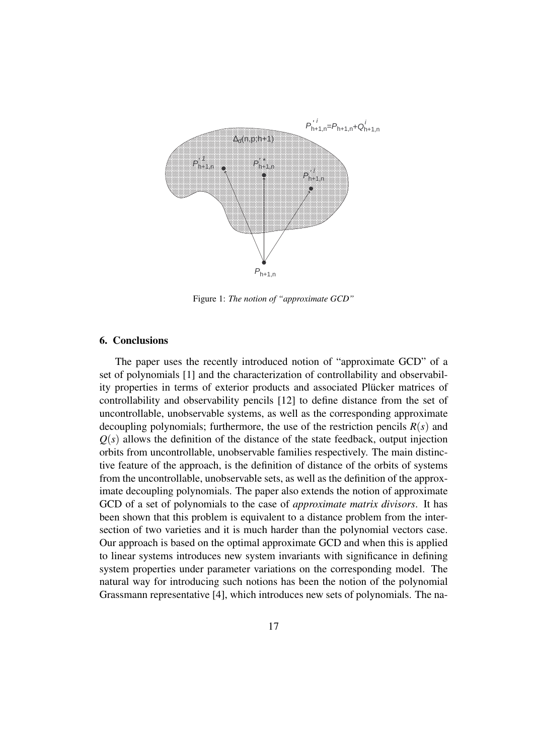

Figure 1: *The notion of "approximate GCD"*

#### 6. Conclusions

The paper uses the recently introduced notion of "approximate GCD" of a set of polynomials [1] and the characterization of controllability and observability properties in terms of exterior products and associated Plücker matrices of controllability and observability pencils [12] to define distance from the set of uncontrollable, unobservable systems, as well as the corresponding approximate decoupling polynomials; furthermore, the use of the restriction pencils *R*(*s*) and  $Q(s)$  allows the definition of the distance of the state feedback, output injection orbits from uncontrollable, unobservable families respectively. The main distinctive feature of the approach, is the definition of distance of the orbits of systems from the uncontrollable, unobservable sets, as well as the definition of the approximate decoupling polynomials. The paper also extends the notion of approximate GCD of a set of polynomials to the case of *approximate matrix divisors*. It has been shown that this problem is equivalent to a distance problem from the intersection of two varieties and it is much harder than the polynomial vectors case. Our approach is based on the optimal approximate GCD and when this is applied to linear systems introduces new system invariants with significance in defining system properties under parameter variations on the corresponding model. The natural way for introducing such notions has been the notion of the polynomial Grassmann representative [4], which introduces new sets of polynomials. The na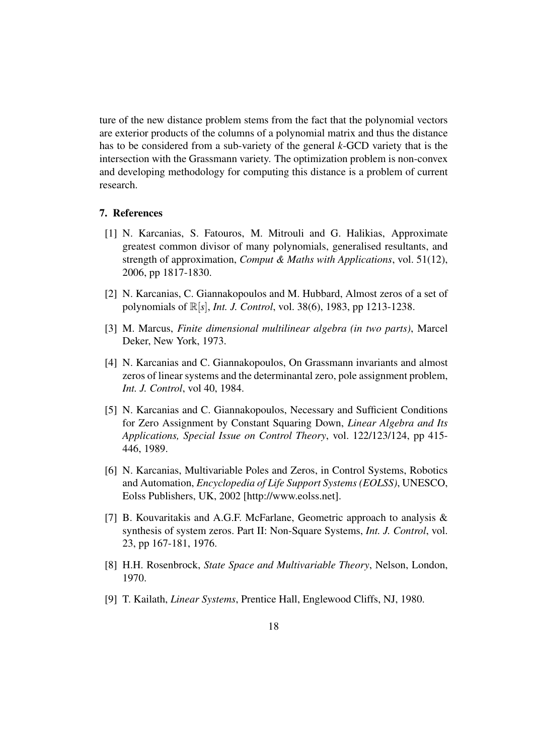ture of the new distance problem stems from the fact that the polynomial vectors are exterior products of the columns of a polynomial matrix and thus the distance has to be considered from a sub-variety of the general *k*-GCD variety that is the intersection with the Grassmann variety. The optimization problem is non-convex and developing methodology for computing this distance is a problem of current research.

#### 7. References

- [1] N. Karcanias, S. Fatouros, M. Mitrouli and G. Halikias, Approximate greatest common divisor of many polynomials, generalised resultants, and strength of approximation, *Comput & Maths with Applications*, vol. 51(12), 2006, pp 1817-1830.
- [2] N. Karcanias, C. Giannakopoulos and M. Hubbard, Almost zeros of a set of polynomials of R[*s*], *Int. J. Control*, vol. 38(6), 1983, pp 1213-1238.
- [3] M. Marcus, *Finite dimensional multilinear algebra (in two parts)*, Marcel Deker, New York, 1973.
- [4] N. Karcanias and C. Giannakopoulos, On Grassmann invariants and almost zeros of linear systems and the determinantal zero, pole assignment problem, *Int. J. Control*, vol 40, 1984.
- [5] N. Karcanias and C. Giannakopoulos, Necessary and Sufficient Conditions for Zero Assignment by Constant Squaring Down, *Linear Algebra and Its Applications, Special Issue on Control Theory*, vol. 122/123/124, pp 415- 446, 1989.
- [6] N. Karcanias, Multivariable Poles and Zeros, in Control Systems, Robotics and Automation, *Encyclopedia of Life Support Systems (EOLSS)*, UNESCO, Eolss Publishers, UK, 2002 [http://www.eolss.net].
- [7] B. Kouvaritakis and A.G.F. McFarlane, Geometric approach to analysis  $\&$ synthesis of system zeros. Part II: Non-Square Systems, *Int. J. Control*, vol. 23, pp 167-181, 1976.
- [8] H.H. Rosenbrock, *State Space and Multivariable Theory*, Nelson, London, 1970.
- [9] T. Kailath, *Linear Systems*, Prentice Hall, Englewood Cliffs, NJ, 1980.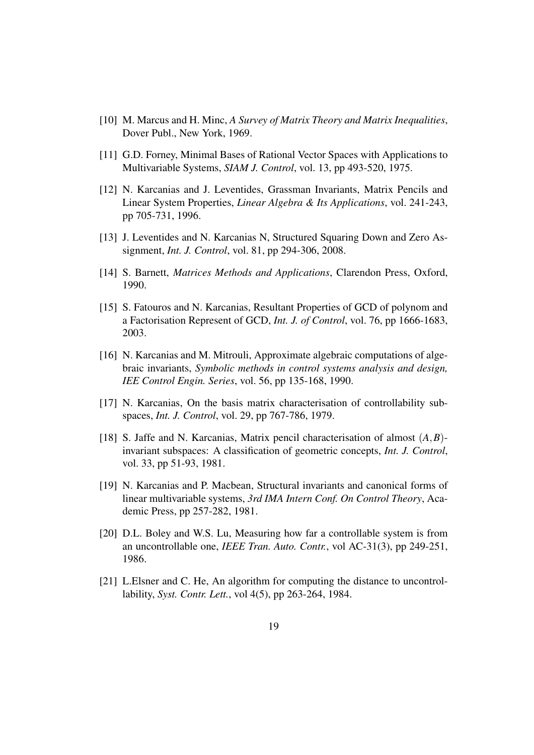- [10] M. Marcus and H. Minc, *A Survey of Matrix Theory and Matrix Inequalities*, Dover Publ., New York, 1969.
- [11] G.D. Forney, Minimal Bases of Rational Vector Spaces with Applications to Multivariable Systems, *SIAM J. Control*, vol. 13, pp 493-520, 1975.
- [12] N. Karcanias and J. Leventides, Grassman Invariants, Matrix Pencils and Linear System Properties, *Linear Algebra & Its Applications*, vol. 241-243, pp 705-731, 1996.
- [13] J. Leventides and N. Karcanias N, Structured Squaring Down and Zero Assignment, *Int. J. Control*, vol. 81, pp 294-306, 2008.
- [14] S. Barnett, *Matrices Methods and Applications*, Clarendon Press, Oxford, 1990.
- [15] S. Fatouros and N. Karcanias, Resultant Properties of GCD of polynom and a Factorisation Represent of GCD, *Int. J. of Control*, vol. 76, pp 1666-1683, 2003.
- [16] N. Karcanias and M. Mitrouli, Approximate algebraic computations of algebraic invariants, *Symbolic methods in control systems analysis and design, IEE Control Engin. Series*, vol. 56, pp 135-168, 1990.
- [17] N. Karcanias, On the basis matrix characterisation of controllability subspaces, *Int. J. Control*, vol. 29, pp 767-786, 1979.
- [18] S. Jaffe and N. Karcanias, Matrix pencil characterisation of almost (*A,B*) invariant subspaces: A classification of geometric concepts, *Int. J. Control*, vol. 33, pp 51-93, 1981.
- [19] N. Karcanias and P. Macbean, Structural invariants and canonical forms of linear multivariable systems, *3rd IMA Intern Conf. On Control Theory*, Academic Press, pp 257-282, 1981.
- [20] D.L. Boley and W.S. Lu, Measuring how far a controllable system is from an uncontrollable one, *IEEE Tran. Auto. Contr.*, vol AC-31(3), pp 249-251, 1986.
- [21] L.Elsner and C. He, An algorithm for computing the distance to uncontrollability, *Syst. Contr. Lett.*, vol 4(5), pp 263-264, 1984.